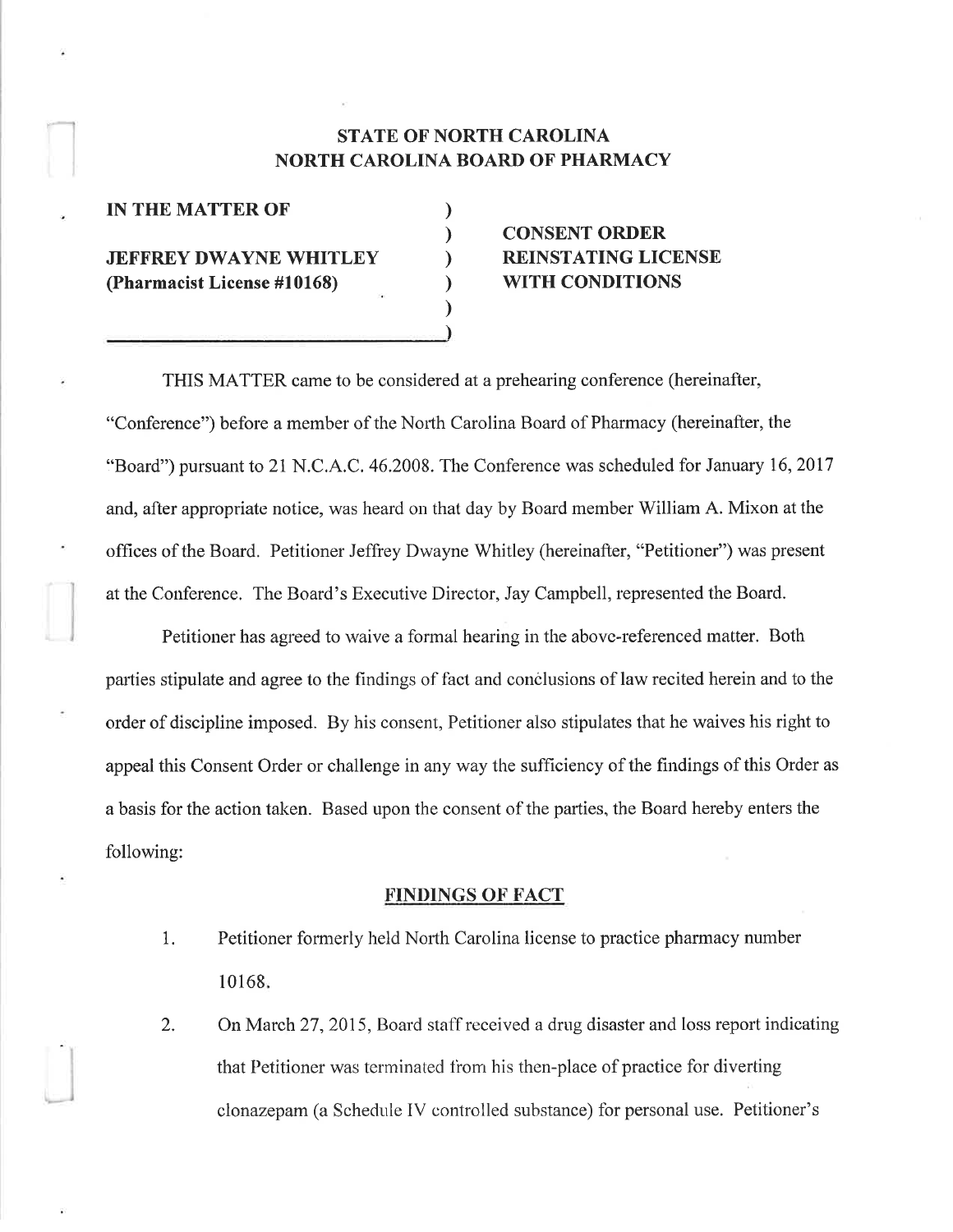# STATE OF NORTH CAROLINA NORTH CAROLINA BOARD OF PHARMACY

) ) ) ) ) )

| <b>IN THE MATTER OF</b>       |  |
|-------------------------------|--|
| <b>JEFFREY DWAYNE WHITLEY</b> |  |
| (Pharmacist License #10168)   |  |
|                               |  |

r'

# CONSENT ORDER REINSTATING LICENSE WITH CONDITIONS

THIS MATTER came to be considered at a prehearing conference (hereinafter, "Conference") before a member of the North Carolina Roard of Pharmacy (hereinafter, the f'Board") pursuant to 21 N.C.A.C. 46.2008. The Conference was scheduled for January 16,2017 and, after appropriate notice, was heard on that day by Roard member William A. Mixon at the offices of the Board. Petitioner Jeffrey Dwayne Whitley (hereinafter, "Petitioner") was present at the Conference. The Board's Executive Director, Jay Campbell, represented the Board.

Petitioner has agreed to waive a formal hearing in the above-referenced matter. Both parties stipulate and agree to the findings of fact and conclusions of law recited herein and to the order of discipline imposed. By his consent, Petitioner also stipulates that he waives his right to appeal this Consent Order or challenge in any way the sufficiency of the findings of this Order as a basis for the action taken. Based upon the consent of the parties, the Board hereby enters the following:

#### **FINDINGS OF FACT**

- 1. Petitioner formerly heid North Carolina license to practice pharmacy number 10168
- 2. On March 27, 2015, Board staff received a drug disaster and loss report indicating that Petitioner was terminated frorn his then-place of practice for diverting clonazepam (a Schedule IV controlled substance) for personal use. Petitioner's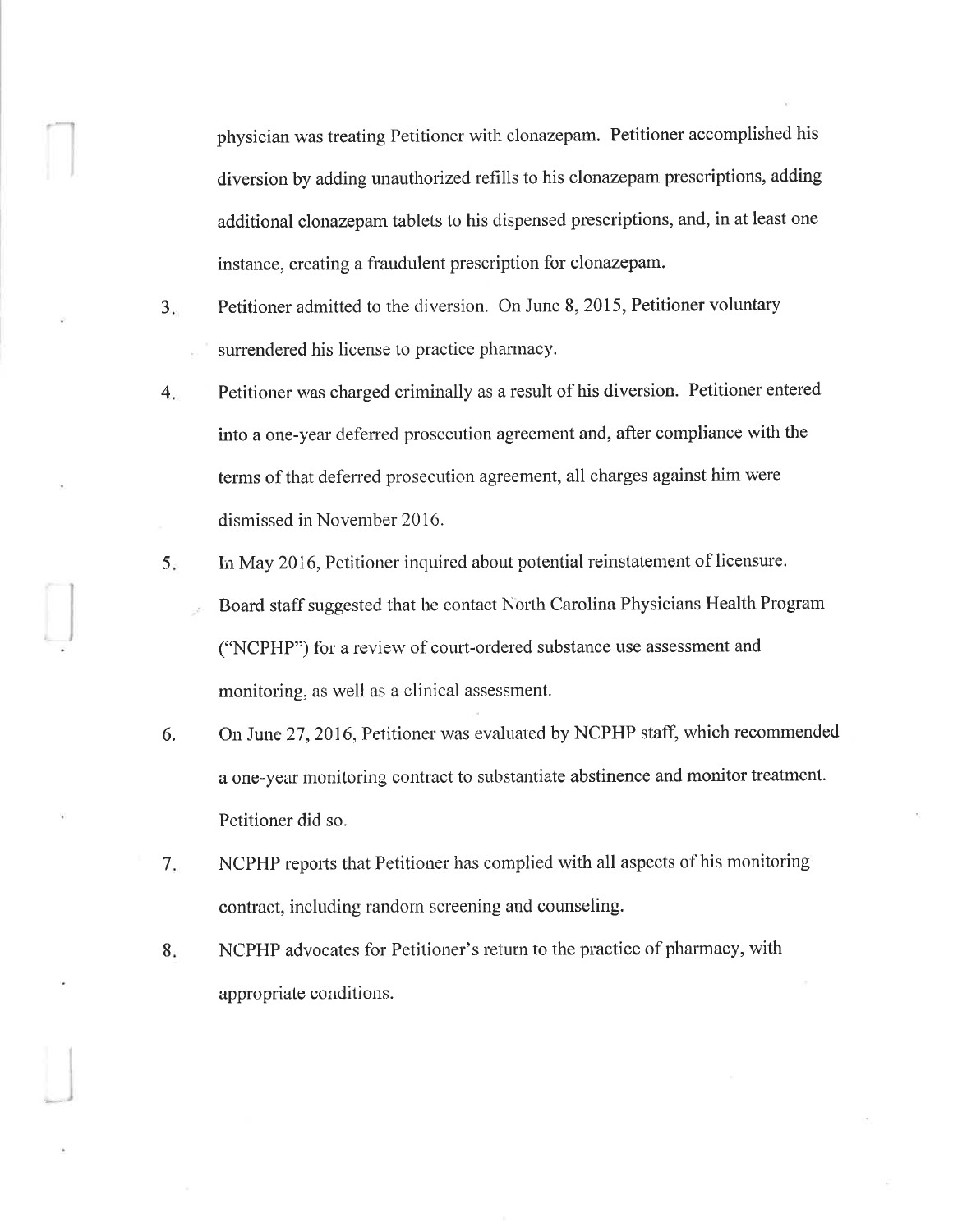physician was treating Petitioner with clonazepam. Petitioner accomplished his diversion by adding unauthorized refills to his clonazepam prescriptions, adding additional clonazepam tablets to his dispensed prescriptions, and, in at least one instance, creating a fraudulent prescription for clonazepam.

- $3.$ Petitioner admitted to the diversion. On June 8, 2015, Petitioner voluntary surrendered his license to practice pharrnacy.
- 4 Petitioner was charged criminally as a result of his diversion. Petitioner entered into a one-year deferred prosecution agreement and, after compliance with the terms of that defened prosecution agreement, all charges against him were dismissed in November 2016.
- $5.$ In May 2016, Petitioner inquired about potential reinstatement of licensure. Board staff suggested that he contact North Carolina Physicians Health Program ("NCPHP") for a review of court-ordered substance use assessment and monitoring, as well as a clinical assessment.
- On June 27, 2016, Petitioner was evaluated by NCPHP staff, which recommended a one-year monitoring contract to substantiate abstinence and monitor treatmenl. Petitioner did so. 6.
- 7 NCPHP reports that Petitioner has complied with all aspects of his monitoring contract, including random screening and counseling.
- $8.5$ NCPHP advocates for Petitioner's return to the practice of pharmacy, with appropriate conditions.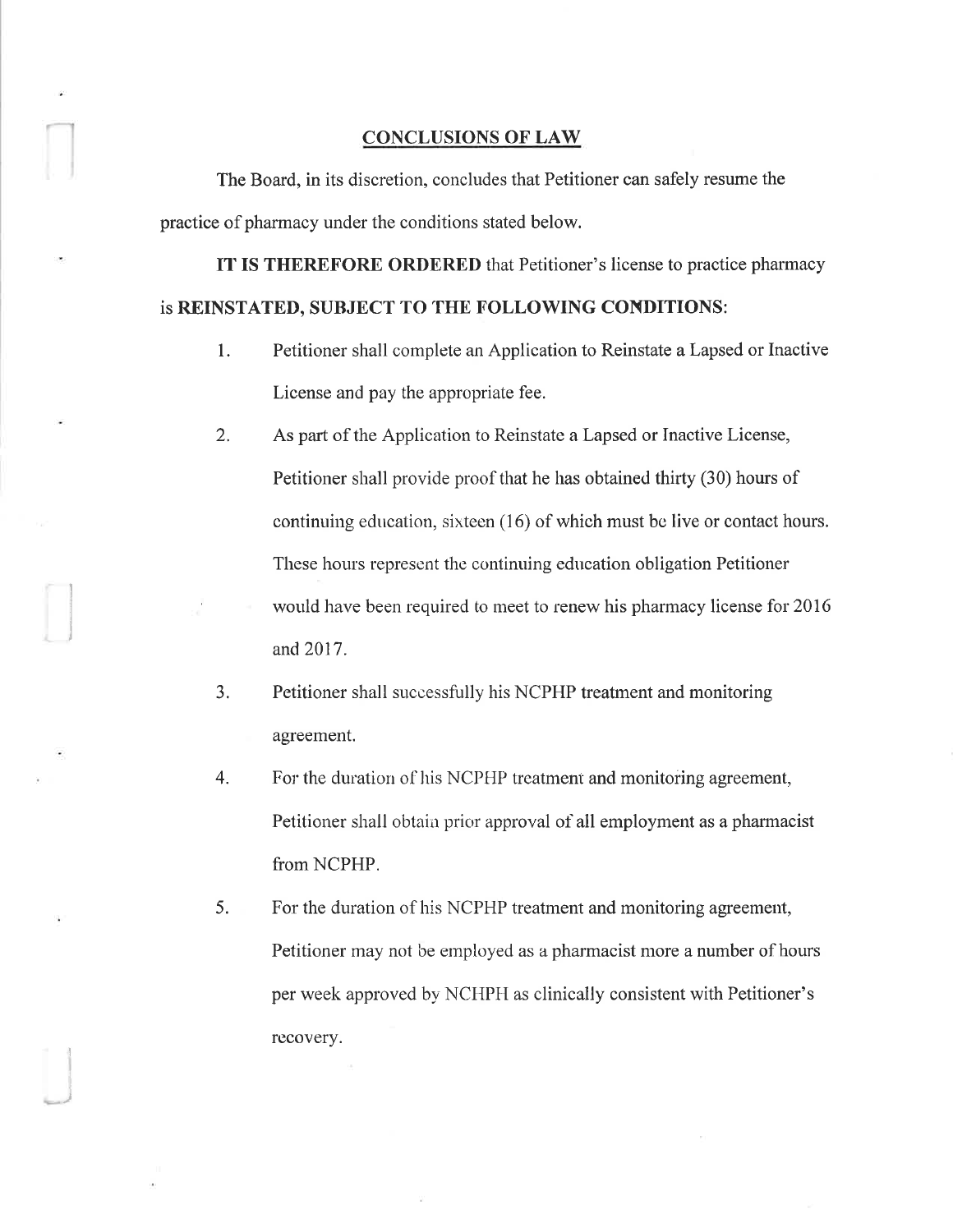### **CONCLUSIONS OF LAW**

The Board, in its discretion, concludes that Petitioner can safely resume the practice of pharmacy under the conditions stated below.

IT IS THEREFORE ORDERED that Petitioner's license to practice pharmacy is REINSTATED, SUBJECT TO THE FOLLOWING CONDITIONS:

- 1. Petitioner shall complete an Application to Reinstate a Lapsed or Inactive License and pay the appropriate fee.
- 2. As part of the Application to Reinstate a Lapsed or Inactive License, Petitioner shall provide proof that he has obtained thirty (30) hours of continuing education, sixteen (16) of which must be live or contact hours. These hours represent the continuing education obligation Petitioner
	- would have been required to meet to renew his pharmacy license for 2016 and 2017.
- 3. Petitioner shall successfully his NCPHP treatment and monitoring agreement.
- 4. For the duration of his NCPHP treatment and monitoring agreement, Petitioner shall obtain prior approval of all employment as a pharmacist from NCPHP.
- 5. For the duration of his NCPHP treatment and monitoring agreement, Petitioner may not be employed as a pharmacist more a number of hours per week approved by NCHPH as clinically consistent with Petitioner's recovery.

)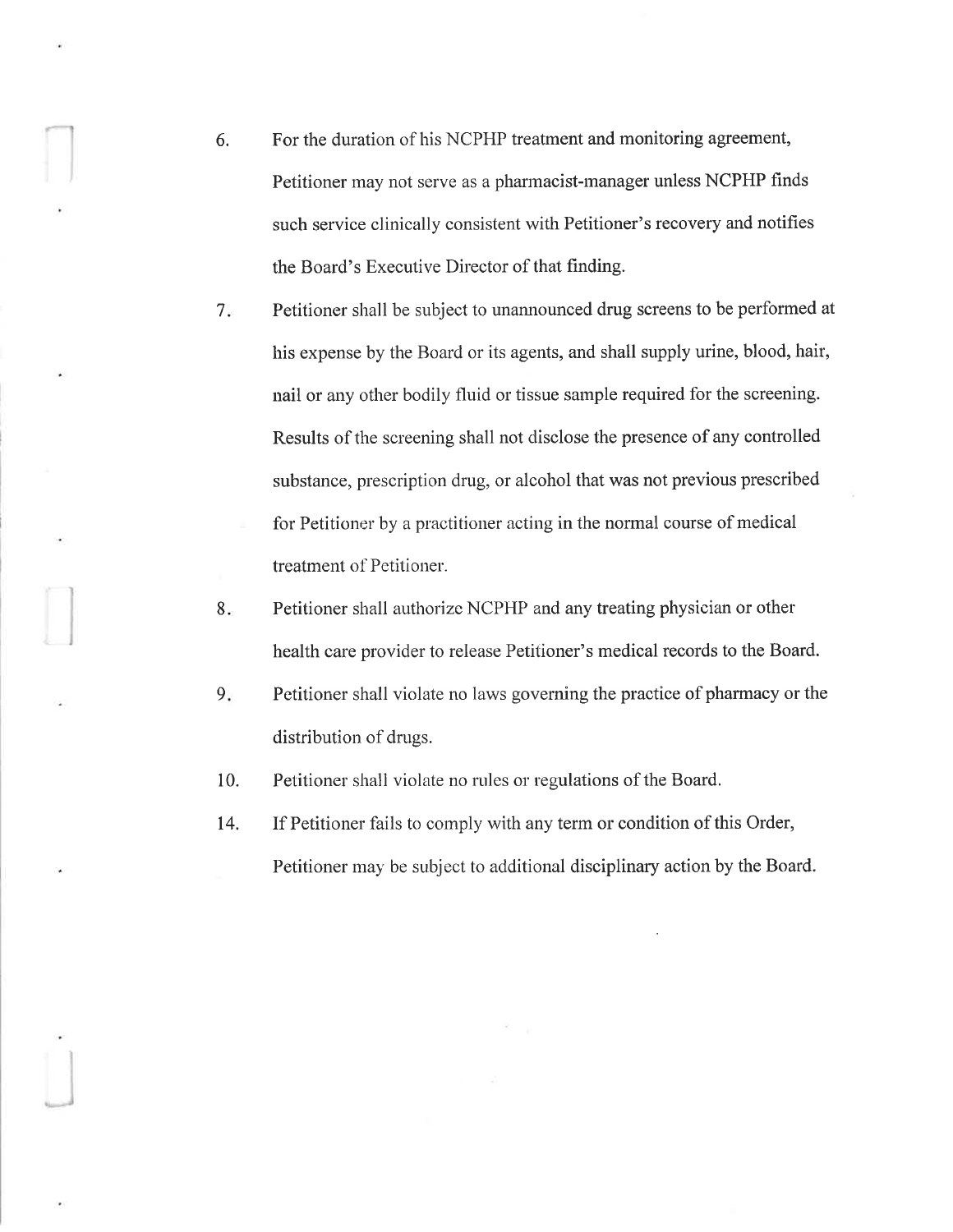- 6. For the duration of his NCPHP treatment and monitoring agreement, Petitioner may not serve as a pharmacist-manager unless NCPHP finds such service clinically consistent with Petitioner's recovery and notifìes the Board's Executive Director of that finding.
- 7 Petitioner shall be subject to unannounced drug screens to be performed at his expense by the Board or its agents, and shall supply urine, blood, hair, nail or any other bodily fluid or tissue sarnple required for the screening. Results of the screening shall not disclose the presence of any controlled substance, prescription drug, or alcohol that was not previous prescribed for Petitioner by a practitioner acting in the normal course of medical treatment of Petitioner.
- Petitioner shall authorize NCPHP and any treating physician or other health care provider to release Petitioner's medical records to the Board. 8
- Petitioner shall violate no laws governing the practice of pharmacy or the distribution of drugs.  $9.5$

10. Petitioner shall violate no rules or regulations of the Board.

t4. If Petitioner fails to comply with any term or condition of this Order, Petitioner may be subject to additional disciplinary action by the Board.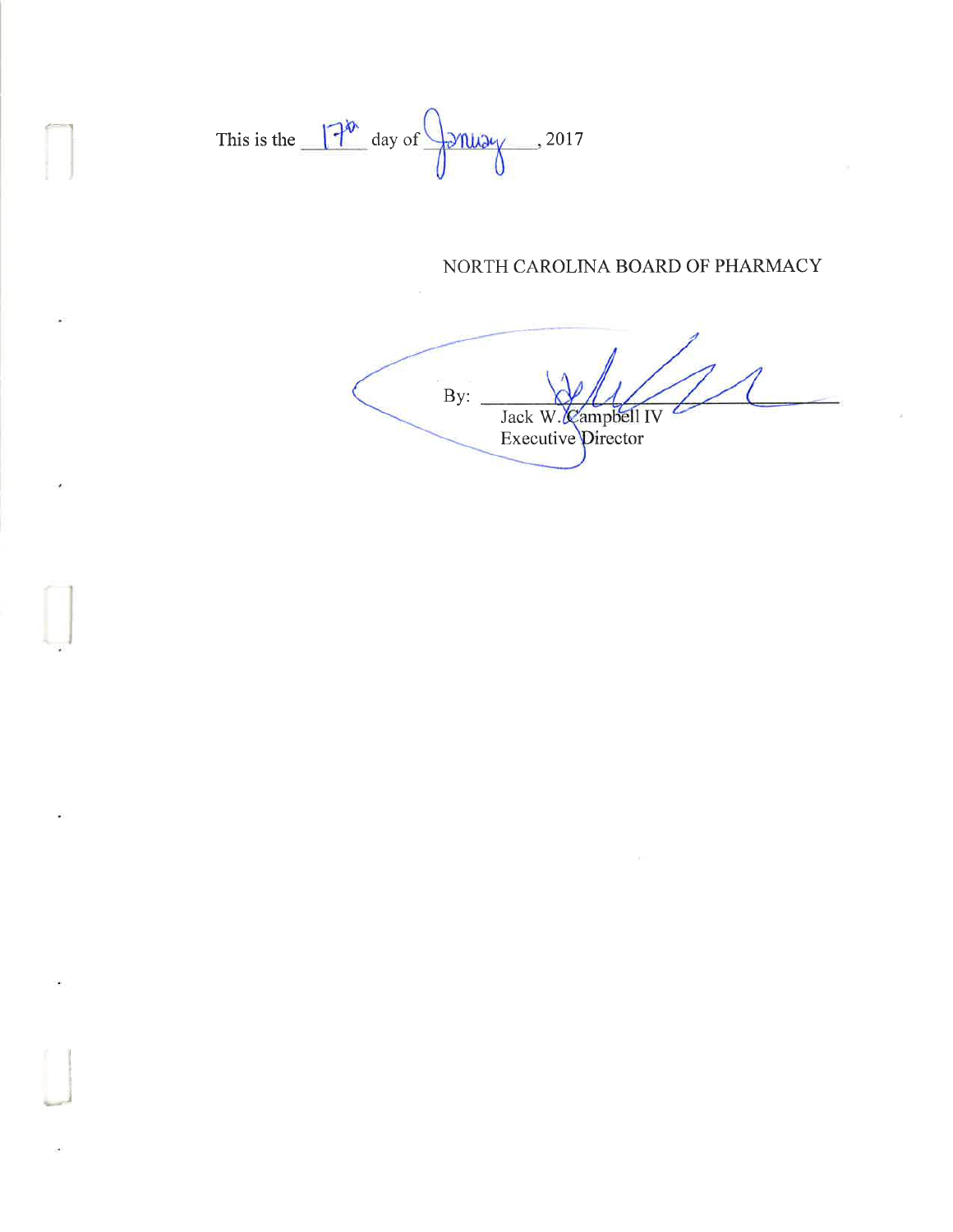This is the  $\frac{1}{\sqrt{2}}$  day of  $\frac{1}{\sqrt{2\pi}}$ , 2017

## NORTH CAROLINA BOARD OF PHARMACY

 $\overline{By:}$ Jack W. Campbell IV